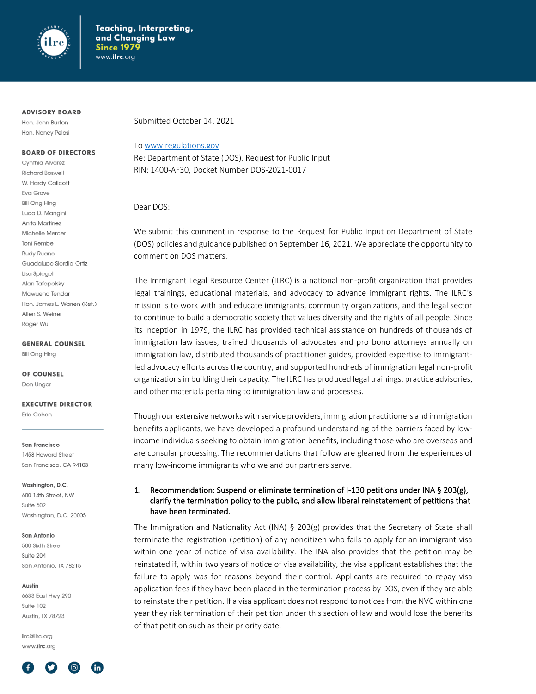

#### **ADVISORY BOARD**

Hon. John Burton Hon. Nancy Pelosi

#### **BOARD OF DIRECTORS**

Cynthia Alvarez **Richard Boswell** W. Hardy Callcott Eva Grove **Bill Ong Hing** Luca D. Manaini Anita Martinez Michelle Mercer **Toni Rembe** Rudy Ruano Guadalupe Siordia-Ortiz Lisa Spieael Alan Tafapolsky Mawuena Tendar Hon. James L. Warren (Ret.) Allen S. Weiner Roger Wu

**GENERAL COUNSEL** 

**Bill Ong Hing** 

OF COUNSEL Don Ungar

**EXECUTIVE DIRECTOR** 

Eric Cohen

San Francisco 1458 Howard Street San Francisco, CA 94103

Washington, D.C. 600 14th Street, NW

Suite 502 Washington, D.C. 20005

#### San Antonio

500 Sixth Street Suite 204 San Antonio, TX 78215

Austin

6633 East Hwy 290 Suite 102 Austin, TX 78723

ilrc@ilrc.org www.ilrc.org



Submitted October 14, 2021

#### T[o www.regulations.gov](http://www.regulations.gov/)

Re: Department of State (DOS), Request for Public Input RIN: 1400-AF30, Docket Number DOS-2021-0017

Dear DOS:

We submit this comment in response to the Request for Public Input on Department of State (DOS) policies and guidance published on September 16, 2021. We appreciate the opportunity to comment on DOS matters.

The Immigrant Legal Resource Center (ILRC) is a national non-profit organization that provides legal trainings, educational materials, and advocacy to advance immigrant rights. The ILRC's mission is to work with and educate immigrants, community organizations, and the legal sector to continue to build a democratic society that values diversity and the rights of all people. Since its inception in 1979, the ILRC has provided technical assistance on hundreds of thousands of immigration law issues, trained thousands of advocates and pro bono attorneys annually on immigration law, distributed thousands of practitioner guides, provided expertise to immigrantled advocacy efforts across the country, and supported hundreds of immigration legal non-profit organizations in building their capacity. The ILRC has produced legal trainings, practice advisories, and other materials pertaining to immigration law and processes.

Though our extensive networks with service providers, immigration practitioners and immigration benefits applicants, we have developed a profound understanding of the barriers faced by lowincome individuals seeking to obtain immigration benefits, including those who are overseas and are consular processing. The recommendations that follow are gleaned from the experiences of many low-income immigrants who we and our partners serve.

#### 1. Recommendation: Suspend or eliminate termination of I-130 petitions under INA § 203(g), clarify the termination policy to the public, and allow liberal reinstatement of petitions that have been terminated.

The Immigration and Nationality Act (INA) § 203(g) provides that the Secretary of State shall terminate the registration (petition) of any noncitizen who fails to apply for an immigrant visa within one year of notice of visa availability. The INA also provides that the petition may be reinstated if, within two years of notice of visa availability, the visa applicant establishes that the failure to apply was for reasons beyond their control. Applicants are required to repay visa application fees if they have been placed in the termination process by DOS, even if they are able to reinstate their petition. If a visa applicant does not respond to notices from the NVC within one year they risk termination of their petition under this section of law and would lose the benefits of that petition such as their priority date.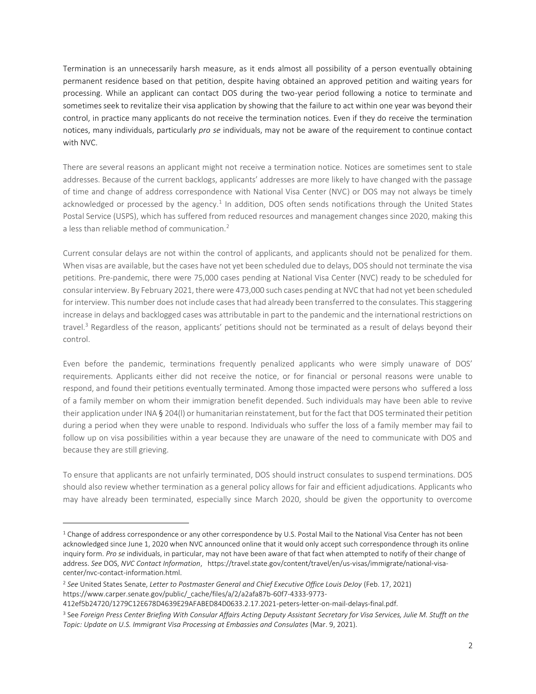Termination is an unnecessarily harsh measure, as it ends almost all possibility of a person eventually obtaining permanent residence based on that petition, despite having obtained an approved petition and waiting years for processing. While an applicant can contact DOS during the two-year period following a notice to terminate and sometimes seek to revitalize their visa application by showing that the failure to act within one year was beyond their control, in practice many applicants do not receive the termination notices. Even if they do receive the termination notices, many individuals, particularly *pro se* individuals, may not be aware of the requirement to continue contact with NVC.

There are several reasons an applicant might not receive a termination notice. Notices are sometimes sent to stale addresses. Because of the current backlogs, applicants' addresses are more likely to have changed with the passage of time and change of address correspondence with National Visa Center (NVC) or DOS may not always be timely acknowledged or processed by the agency.<sup>1</sup> In addition, DOS often sends notifications through the United States Postal Service (USPS), which has suffered from reduced resources and management changes since 2020, making this a less than reliable method of communication.<sup>2</sup>

Current consular delays are not within the control of applicants, and applicants should not be penalized for them. When visas are available, but the cases have not yet been scheduled due to delays, DOS should not terminate the visa petitions. Pre-pandemic, there were 75,000 cases pending at National Visa Center (NVC) ready to be scheduled for consular interview. By February 2021, there were 473,000 such cases pending at NVC that had not yet been scheduled for interview. This number does not include cases that had already been transferred to the consulates. This staggering increase in delays and backlogged cases was attributable in part to the pandemic and the international restrictions on travel.<sup>3</sup> Regardless of the reason, applicants' petitions should not be terminated as a result of delays beyond their control.

Even before the pandemic, terminations frequently penalized applicants who were simply unaware of DOS' requirements. Applicants either did not receive the notice, or for financial or personal reasons were unable to respond, and found their petitions eventually terminated. Among those impacted were persons who suffered a loss of a family member on whom their immigration benefit depended. Such individuals may have been able to revive their application under INA § 204(l) or humanitarian reinstatement, but for the fact that DOS terminated their petition during a period when they were unable to respond. Individuals who suffer the loss of a family member may fail to follow up on visa possibilities within a year because they are unaware of the need to communicate with DOS and because they are still grieving.

To ensure that applicants are not unfairly terminated, DOS should instruct consulates to suspend terminations. DOS should also review whether termination as a general policy allows for fair and efficient adjudications. Applicants who may have already been terminated, especially since March 2020, should be given the opportunity to overcome

<sup>&</sup>lt;sup>1</sup> Change of address correspondence or any other correspondence by U.S. Postal Mail to the National Visa Center has not been acknowledged since June 1, 2020 when NVC announced online that it would only accept such correspondence through its online inquiry form. *Pro se* individuals, in particular, may not have been aware of that fact when attempted to notify of their change of address. *See* DOS, *NVC Contact Information*, https://travel.state.gov/content/travel/en/us-visas/immigrate/national-visacenter/nvc-contact-information.html.

<sup>2</sup> *See* United States Senate, *Letter to Postmaster General and Chief Executive Office Louis DeJoy* (Feb. 17, 2021) https://www.carper.senate.gov/public/\_cache/files/a/2/a2afa87b-60f7-4333-9773-

<sup>412</sup>ef5b24720/1279C12E678D4639E29AFABED84D0633.2.17.2021-peters-letter-on-mail-delays-final.pdf.

<sup>3</sup> See *Foreign Press Center Briefing With Consular Affairs Acting Deputy Assistant Secretary for Visa Services, Julie M. Stufft on the Topic: Update on U.S. Immigrant Visa Processing at Embassies and Consulates* (Mar. 9, 2021).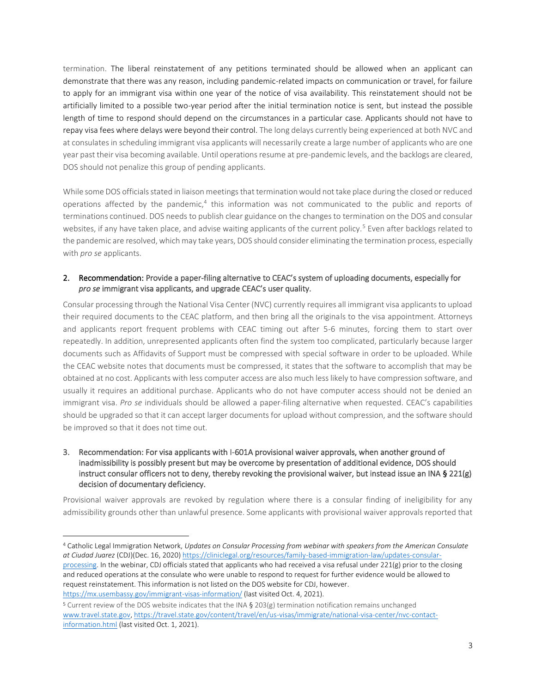termination. The liberal reinstatement of any petitions terminated should be allowed when an applicant can demonstrate that there was any reason, including pandemic-related impacts on communication or travel, for failure to apply for an immigrant visa within one year of the notice of visa availability. This reinstatement should not be artificially limited to a possible two-year period after the initial termination notice is sent, but instead the possible length of time to respond should depend on the circumstances in a particular case. Applicants should not have to repay visa fees where delays were beyond their control. The long delays currently being experienced at both NVC and at consulates in scheduling immigrant visa applicants will necessarily create a large number of applicants who are one year past their visa becoming available. Until operations resume at pre-pandemic levels, and the backlogs are cleared, DOS should not penalize this group of pending applicants.

While some DOS officials stated in liaison meetings that termination would not take place during the closed or reduced operations affected by the pandemic,<sup>4</sup> this information was not communicated to the public and reports of terminations continued. DOS needs to publish clear guidance on the changes to termination on the DOS and consular websites, if any have taken place, and advise waiting applicants of the current policy.<sup>5</sup> Even after backlogs related to the pandemic are resolved, which may take years, DOS should consider eliminating the termination process, especially with *pro se* applicants.

#### 2. Recommendation: Provide a paper-filing alternative to CEAC's system of uploading documents, especially for *pro se* immigrant visa applicants, and upgrade CEAC's user quality.

Consular processing through the National Visa Center (NVC) currently requires all immigrant visa applicants to upload their required documents to the CEAC platform, and then bring all the originals to the visa appointment. Attorneys and applicants report frequent problems with CEAC timing out after 5-6 minutes, forcing them to start over repeatedly. In addition, unrepresented applicants often find the system too complicated, particularly because larger documents such as Affidavits of Support must be compressed with special software in order to be uploaded. While the CEAC website notes that documents must be compressed, it states that the software to accomplish that may be obtained at no cost. Applicants with less computer access are also much less likely to have compression software, and usually it requires an additional purchase. Applicants who do not have computer access should not be denied an immigrant visa. *Pro se* individuals should be allowed a paper-filing alternative when requested. CEAC's capabilities should be upgraded so that it can accept larger documents for upload without compression, and the software should be improved so that it does not time out.

### 3. Recommendation: For visa applicants with I-601A provisional waiver approvals, when another ground of inadmissibility is possibly present but may be overcome by presentation of additional evidence, DOS should instruct consular officers not to deny, thereby revoking the provisional waiver, but instead issue an INA § 221(g) decision of documentary deficiency.

Provisional waiver approvals are revoked by regulation where there is a consular finding of ineligibility for any admissibility grounds other than unlawful presence. Some applicants with provisional waiver approvals reported that

<sup>4</sup> Catholic Legal Immigration Network, *Updates on Consular Processing from webinar with speakers from the American Consulate at Ciudad Juarez* (CDJ)(Dec. 16, 2020) [https://cliniclegal.org/resources/family-based-immigration-law/updates-consular-](https://cliniclegal.org/resources/family-based-immigration-law/updates-consular-processing)

[processing.](https://cliniclegal.org/resources/family-based-immigration-law/updates-consular-processing) In the webinar, CDJ officials stated that applicants who had received a visa refusal under 221(g) prior to the closing and reduced operations at the consulate who were unable to respond to request for further evidence would be allowed to request reinstatement. This information is not listed on the DOS website for CDJ, however. <https://mx.usembassy.gov/immigrant-visas-information/> (last visited Oct. 4, 2021).

<sup>5</sup> Current review of the DOS website indicates that the INA § 203(g) termination notification remains unchanged [www.travel.state.gov,](http://www.travel.state.gov/) [https://travel.state.gov/content/travel/en/us-visas/immigrate/national-visa-center/nvc-contact](https://travel.state.gov/content/travel/en/us-visas/immigrate/national-visa-center/nvc-contact-information.html)[information.html](https://travel.state.gov/content/travel/en/us-visas/immigrate/national-visa-center/nvc-contact-information.html) (last visited Oct. 1, 2021).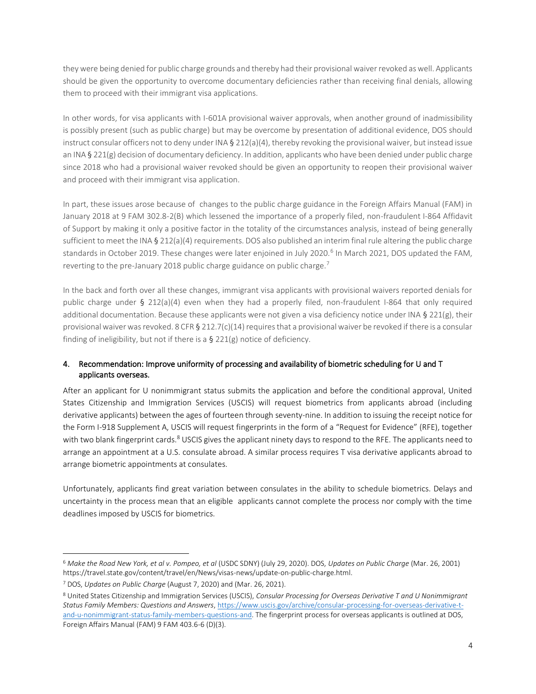they were being denied for public charge grounds and thereby had their provisional waiver revoked as well. Applicants should be given the opportunity to overcome documentary deficiencies rather than receiving final denials, allowing them to proceed with their immigrant visa applications.

In other words, for visa applicants with I-601A provisional waiver approvals, when another ground of inadmissibility is possibly present (such as public charge) but may be overcome by presentation of additional evidence, DOS should instruct consular officers not to deny under INA  $\S$  212(a)(4), thereby revoking the provisional waiver, but instead issue an INA § 221(g) decision of documentary deficiency. In addition, applicants who have been denied under public charge since 2018 who had a provisional waiver revoked should be given an opportunity to reopen their provisional waiver and proceed with their immigrant visa application.

In part, these issues arose because of changes to the public charge guidance in the Foreign Affairs Manual (FAM) in January 2018 at 9 FAM 302.8-2(B) which lessened the importance of a properly filed, non-fraudulent I-864 Affidavit of Support by making it only a positive factor in the totality of the circumstances analysis, instead of being generally sufficient to meet the INA § 212(a)(4) requirements. DOS also published an interim final rule altering the public charge standards in October 2019. These changes were later enjoined in July 2020.<sup>6</sup> In March 2021, DOS updated the FAM, reverting to the pre-January 2018 public charge guidance on public charge.<sup>7</sup>

In the back and forth over all these changes, immigrant visa applicants with provisional waivers reported denials for public charge under § 212(a)(4) even when they had a properly filed, non-fraudulent I-864 that only required additional documentation. Because these applicants were not given a visa deficiency notice under INA  $\S$  221(g), their provisional waiver was revoked. 8 CFR § 212.7(c)(14) requires that a provisional waiver be revoked if there is a consular finding of ineligibility, but not if there is a § 221(g) notice of deficiency.

# 4. Recommendation: Improve uniformity of processing and availability of biometric scheduling for U and T applicants overseas.

After an applicant for U nonimmigrant status submits the application and before the conditional approval, United States Citizenship and Immigration Services (USCIS) will request biometrics from applicants abroad (including derivative applicants) between the ages of fourteen through seventy-nine. In addition to issuing the receipt notice for the Form I-918 Supplement A, USCIS will request fingerprints in the form of a "Request for Evidence" (RFE), together with two blank fingerprint cards.<sup>8</sup> USCIS gives the applicant ninety days to respond to the RFE. The applicants need to arrange an appointment at a U.S. consulate abroad. A similar process requires T visa derivative applicants abroad to arrange biometric appointments at consulates.

Unfortunately, applicants find great variation between consulates in the ability to schedule biometrics. Delays and uncertainty in the process mean that an eligible applicants cannot complete the process nor comply with the time deadlines imposed by USCIS for biometrics.

<sup>6</sup> *Make the Road New York, et al v. Pompeo, et al* (USDC SDNY) (July 29, 2020). DOS, *Updates on Public Charge* (Mar. 26, 2001) https://travel.state.gov/content/travel/en/News/visas-news/update-on-public-charge.html.

<sup>7</sup> DOS, *Updates on Public Charge* (August 7, 2020) and (Mar. 26, 2021).

<sup>8</sup> United States Citizenship and Immigration Services (USCIS), *Consular Processing for Overseas Derivative T and U Nonimmigrant Status Family Members: Questions and Answers*[, https://www.uscis.gov/archive/consular-processing-for-overseas-derivative-t](https://www.uscis.gov/archive/consular-processing-for-overseas-derivative-t-and-u-nonimmigrant-status-family-members-questions-and)[and-u-nonimmigrant-status-family-members-questions-and.](https://www.uscis.gov/archive/consular-processing-for-overseas-derivative-t-and-u-nonimmigrant-status-family-members-questions-and) The fingerprint process for overseas applicants is outlined at DOS, Foreign Affairs Manual (FAM) 9 FAM 403.6-6 (D)(3).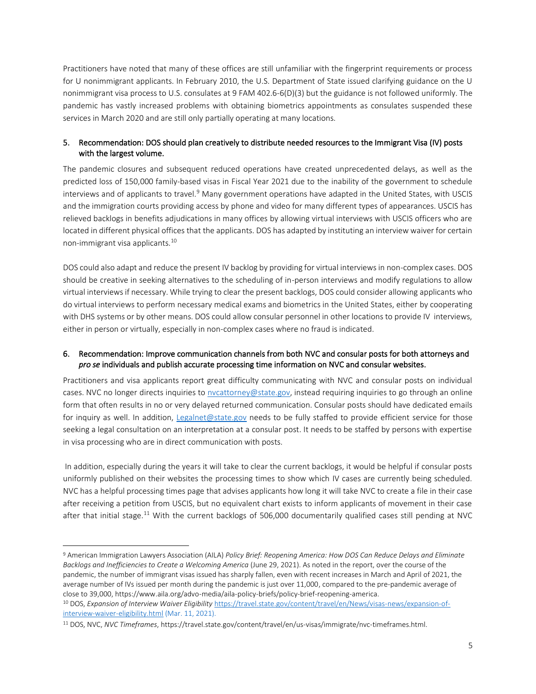Practitioners have noted that many of these offices are still unfamiliar with the fingerprint requirements or process for U nonimmigrant applicants. In February 2010, the U.S. Department of State issued clarifying guidance on the U nonimmigrant visa process to U.S. consulates at 9 FAM 402.6-6(D)(3) but the guidance is not followed uniformly. The pandemic has vastly increased problems with obtaining biometrics appointments as consulates suspended these services in March 2020 and are still only partially operating at many locations.

## 5. Recommendation: DOS should plan creatively to distribute needed resources to the Immigrant Visa (IV) posts with the largest volume.

The pandemic closures and subsequent reduced operations have created unprecedented delays, as well as the predicted loss of 150,000 family-based visas in Fiscal Year 2021 due to the inability of the government to schedule interviews and of applicants to travel.<sup>9</sup> Many government operations have adapted in the United States, with USCIS and the immigration courts providing access by phone and video for many different types of appearances. USCIS has relieved backlogs in benefits adjudications in many offices by allowing virtual interviews with USCIS officers who are located in different physical offices that the applicants. DOS has adapted by instituting an interview waiver for certain non-immigrant visa applicants.<sup>10</sup>

DOS could also adapt and reduce the present IV backlog by providing for virtual interviews in non-complex cases. DOS should be creative in seeking alternatives to the scheduling of in-person interviews and modify regulations to allow virtual interviews if necessary. While trying to clear the present backlogs, DOS could consider allowing applicants who do virtual interviews to perform necessary medical exams and biometrics in the United States, either by cooperating with DHS systems or by other means. DOS could allow consular personnel in other locations to provide IV interviews, either in person or virtually, especially in non-complex cases where no fraud is indicated.

## 6. Recommendation: Improve communication channels from both NVC and consular posts for both attorneys and *pro se* individuals and publish accurate processing time information on NVC and consular websites.

Practitioners and visa applicants report great difficulty communicating with NVC and consular posts on individual cases. NVC no longer directs inquiries to [nvcattorney@state.gov,](mailto:nvcattorney@state.gov) instead requiring inquiries to go through an online form that often results in no or very delayed returned communication. Consular posts should have dedicated emails for inquiry as well. In addition, [Legalnet@state.gov](mailto:Legalnet@state.gov) needs to be fully staffed to provide efficient service for those seeking a legal consultation on an interpretation at a consular post. It needs to be staffed by persons with expertise in visa processing who are in direct communication with posts.

In addition, especially during the years it will take to clear the current backlogs, it would be helpful if consular posts uniformly published on their websites the processing times to show which IV cases are currently being scheduled. NVC has a helpful processing times page that advises applicants how long it will take NVC to create a file in their case after receiving a petition from USCIS, but no equivalent chart exists to inform applicants of movement in their case after that initial stage.<sup>11</sup> With the current backlogs of 506,000 documentarily qualified cases still pending at NVC

<sup>9</sup> American Immigration Lawyers Association (AILA) *Policy Brief: Reopening America: How DOS Can Reduce Delays and Eliminate Backlogs and Inefficiencies to Create a Welcoming America* (June 29, 2021). As noted in the report, over the course of the pandemic, the number of immigrant visas issued has sharply fallen, even with recent increases in March and April of 2021, the average number of IVs issued per month during the pandemic is just over 11,000, compared to the pre-pandemic average of close to 39,000, https://www.aila.org/advo-media/aila-policy-briefs/policy-brief-reopening-america.

<sup>10</sup> DOS, *Expansion of Interview Waiver Eligibility* [https://travel.state.gov/content/travel/en/News/visas-news/expansion-of](https://travel.state.gov/content/travel/en/News/visas-news/expansion-of-interview-waiver-eligibility.html)[interview-waiver-eligibility.html](https://travel.state.gov/content/travel/en/News/visas-news/expansion-of-interview-waiver-eligibility.html) (Mar. 11, 2021).

<sup>11</sup> DOS, NVC, *NVC Timeframes*, https://travel.state.gov/content/travel/en/us-visas/immigrate/nvc-timeframes.html.